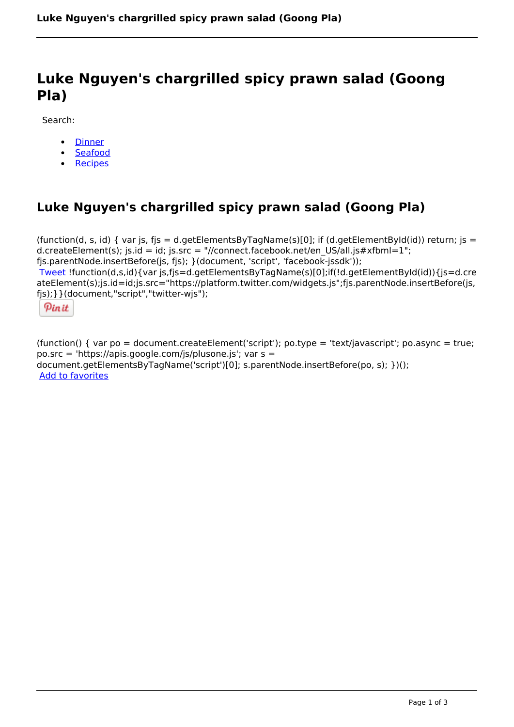## **Luke Nguyen's chargrilled spicy prawn salad (Goong Pla)**

Search:

- [Dinner](https://www.naturalhealthmag.com.au/nourish/dinner-ideas)  $\bullet$
- [Seafood](https://www.naturalhealthmag.com.au/nourish/seafood)
- [Recipes](https://www.naturalhealthmag.com.au/nourish/recipes)

## **Luke Nguyen's chargrilled spicy prawn salad (Goong Pla)**

(function(d, s, id) { var js, fjs = d.getElementsByTagName(s)[0]; if (d.getElementById(id)) return; js = d.createElement(s); js.id = id; js.src = "//connect.facebook.net/en\_US/all.js#xfbml=1"; fjs.parentNode.insertBefore(js, fjs); }(document, 'script', 'facebook-jssdk')); [Tweet](https://twitter.com/share) !function(d,s,id){var js,fjs=d.getElementsByTagName(s)[0];if(!d.getElementById(id)){js=d.cre ateElement(s);js.id=id;js.src="https://platform.twitter.com/widgets.js";fjs.parentNode.insertBefore(js, fjs);}}(document,"script","twitter-wjs");



(function() { var po = document.createElement('script'); po.type = 'text/javascript'; po.async = true; po.src = 'https://apis.google.com/js/plusone.js'; var s = document.getElementsByTagName('script')[0]; s.parentNode.insertBefore(po, s); })(); Add to favorites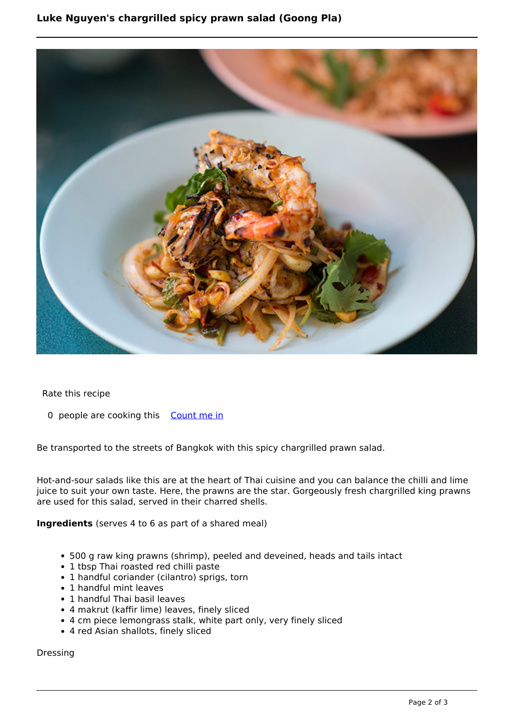

Rate this recipe

0 people are cooking this [Count me in](https://www.naturalhealthmag.com.au/flag/flag/favorites/2140?destination=printpdf%2F2140&token=b3ea8a481c52b39c30fcaa6c175d28f0)

Be transported to the streets of Bangkok with this spicy chargrilled prawn salad.

Hot-and-sour salads like this are at the heart of Thai cuisine and you can balance the chilli and lime juice to suit your own taste. Here, the prawns are the star. Gorgeously fresh chargrilled king prawns are used for this salad, served in their charred shells.

## **Ingredients** (serves 4 to 6 as part of a shared meal)

- 500 g raw king prawns (shrimp), peeled and deveined, heads and tails intact
- 1 tbsp Thai roasted red chilli paste
- 1 handful coriander (cilantro) sprigs, torn
- 1 handful mint leaves
- 1 handful Thai basil leaves
- 4 makrut (kaffir lime) leaves, finely sliced
- 4 cm piece lemongrass stalk, white part only, very finely sliced
- 4 red Asian shallots, finely sliced

Dressing